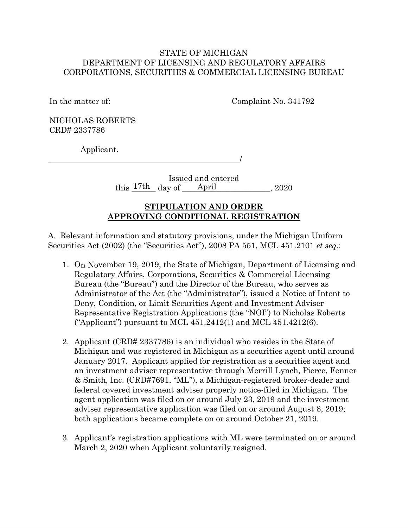### STATE OF MICHIGAN DEPARTMENT OF LICENSING AND REGULATORY AFFAIRS CORPORATIONS, SECURITIES & COMMERCIAL LICENSING BUREAU

In the matter of:

Complaint No. 341792

NICHOLAS ROBERTS CRD# 2337786

Applicant.

/

Issued and entered this  $\frac{17th}{ }$  day of  $\frac{\text{April}}{\text{April}}$ , 2020

# **STIPULATION AND ORDER APPROVING CONDITIONAL REGISTRATION**

A. Relevant information and statutory provisions, under the Michigan Uniform Securities Act (2002) (the "Securities Act"), 2008 PA 551, MCL 451.2101 *et seq.*:

- 1. On November 19, 2019, the State of Michigan, Department of Licensing and Regulatory Affairs, Corporations, Securities & Commercial Licensing Bureau (the "Bureau") and the Director of the Bureau, who serves as Administrator of the Act (the "Administrator"), issued a Notice of Intent to Deny, Condition, or Limit Securities Agent and Investment Adviser Representative Registration Applications (the "NOI") to Nicholas Roberts ("Applicant") pursuant to MCL  $451.2412(1)$  and MCL  $451.4212(6)$ .
- 2. Applicant (CRD# 2337786) is an individual who resides in the State of Michigan and was registered in Michigan as a securities agent until around January 2017. Applicant applied for registration as a securities agent and an investment adviser representative through Merrill Lynch, Pierce, Fenner & Smith, Inc. (CRD#7691, "ML"), a Michigan-registered broker-dealer and federal covered investment adviser properly notice-filed in Michigan. The agent application was filed on or around July 23, 2019 and the investment adviser representative application was filed on or around August 8, 2019; both applications became complete on or around October 21, 2019.
- 3. Applicant's registration applications with ML were terminated on or around March 2, 2020 when Applicant voluntarily resigned.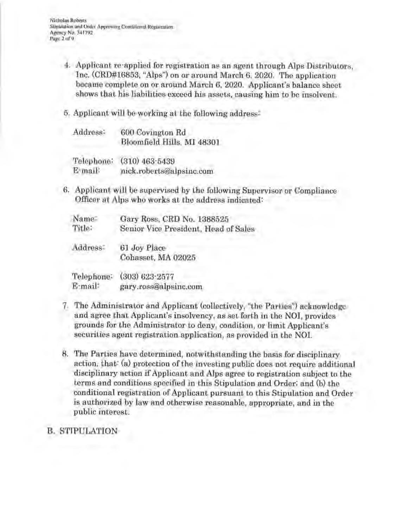- 4. Applicant re·applied for registration as an agent through Alps Distributors, Inc. (CRD#16853, "Alps") on or around March 6, 2020. The application became complete on or around March 6, 2020. Applicant's balance sheet shows that his liabilities exceed his assets, causing him to be insolvent.
- 5. Applicant will be working at the following address:

| Address:   | 600 Covington Rd           |
|------------|----------------------------|
|            | Bloomfield Hills, MI 48301 |
| Telephone: | $(310)$ $463 - 5439$       |

E·mail: nick.roberts@alpsinc.com

6. Applicant will be supervised by the following Supervisor or Compliance Officer at Alps who works at the address indicated:

| Name   | Gary Ross, CRD No. 1388525           |
|--------|--------------------------------------|
| Title: | Senior Vice President, Head of Sales |

Address: 61 Joy Place Cohasset, MA 02025

Telephone: (303) 623·2577 E·mail: gary.ross@alpsinc.com

- 7. The Administrator and Applicant (collectively, "the Parties") acknowledge and agree that Applicant's insolvency, as set forth in the NOI, provides grounds for the Administrator to deny, condition, or limit Applicant's securities agent registration application, as provided in the NOL
- 8. The Parties have determined, notwithstanding the basis for disciplinary action, that: (a) protection of the investing public does not require additional disciplinary action if Applicant and Alps agree to registration subject to the terms and conditions specified in this Stipulation and Order; and (b) the conditional registration of Applicant pursuant to this Stipulation and Order is authorized by law and otherwise reasonable, appropriate, and in the public interest.

# B. STIPULATION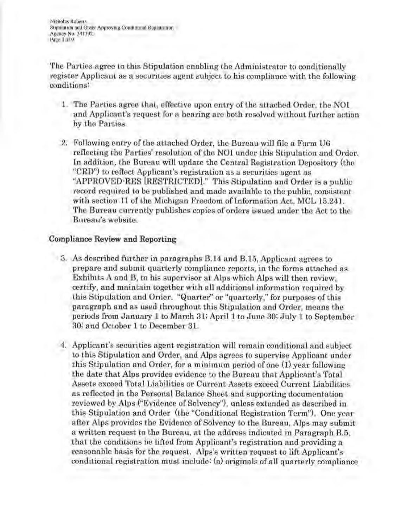**Nicholas Roberts** Stipulation and Order Approving Conditional Registration **Agency No. 341792 Page 3 of9** 

The Parties agree to this Stipulation enabling the Administrator to conditionally register Applicant as a securities agent subject to his compliance with the following conditions:

- 1. The Parties agree that, effective upon entry of the attached Order, the NO! and Applicant's request for a hearing are both resolved without further action by the Parties.
- 2. Following entry of the attached Order, the Bureau will file a Form U6 reflecting the Parties' resolution of the NOI under this Stipulation and Order. In addition, the Bureau will update the Central Registration Depository (the "CRD") to reflect Applicant's registration as a securities agent as "APPROVED-RES (RESTRICTED]." This Stipulation and Order is a public record required to be published and made available to the public, consistent with section 11 of the Michigan Freedom of Information Act, MCL 15.241. The Bureau currently publishes copies of orders issued under the Act to the Bureau's website.

# Compliance **Review** and Reporting

- 3. As described further in paragraphs B.14 and B.15, Applicant agrees to prepare and submit quarterly compliance reports, in the forms attached as Exhibits A and B, to his supervisor at Alps which Alps will then review, certify, and maintain together with all additional information required by this Stipulation and Order. "Quarter" or "quarterly," for purposes of this paragraph and as used throughout this Stipulation and Order, means the periods from January 1 to March 31; April 1 to June 30; July 1 to September 30; and October 1 to December 31.
- 4. Applicant's securities agent registration will remain conditional and subject to this Stipulation and Order, and Alps agrees to supervise Applicant under this Stipulation and Order, for a minimum period of one (1) year following the date that Alps provides evidence to the Bureau that Applicant's Total Assets exceed Total Liabilities or Current Assets exceed Current Liabilities as reflected in the Personal Balance Sheet and supporting documentation reviewed by Alps ("Evidence of Solvency"), unless extended as described in this Stipulation and Order (the "Conditional Registration Term"). One year after Alps provides the Evidence of Solvency to the Bureau, Alps may submit a written request to the Bureau, at the address indicated in Paragraph B.5, that the conditions be lifted from Applicant's registration and providing a reasonable basis for the request. Alps's written request to lift Applicant's conditional registration must include: (a) originals of all quarterly compliance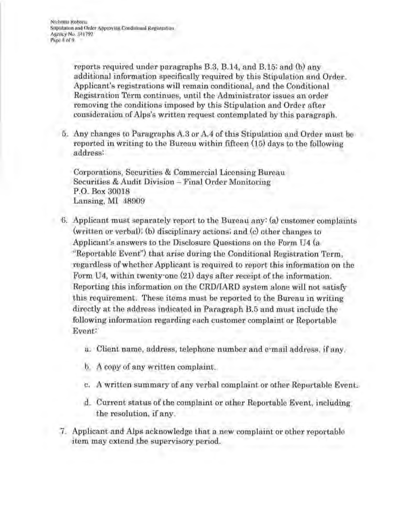**Nicholas Roberts Stipula1ion and Order Approving Conditional Registration Agency No. 341192**  Page 4 of 9

> reports required under paragraphs B.3, B.14, and B.15; and (b) any additional information specifically required by this Stipulation and Order. Applicant's registrations will remain conditional, and the Conditional Registration Term continues, until the Administrator issues an order removing the conditions imposed by this Stipulation and Order after consideration of Alps's written request contemplated by this paragraph.

5. Any changes to Paragraphs A.3 or A.4 of this Stipulation and Order must be reported in writing to the Bureau within fifteen (15) days to the following address:

Corporations, Securities & Commercial Licensing Bureau Securities & Audit Division - Final Order Monitoring P.O. Box 30018 Lansing, MI 48909

- 6. Applicant must separately report to the Bureau any: (a) customer complaints (written or verbal); (b) disciplinary actions; and (c) other changes to Applicant's answers to the Disclosure Questions on the Form U4 (a "Reportable Event") that arise during the Conditional Registration Term, regardless of whether Applicant is required to report this information on the Form U4, within twenty·one (21) days after receipt of the information. Reporting this information on the CRD/IARD system alone will not satisfy this requirement. These items must be reported to the Bureau in writing directly at the address indicated in Paragraph B.5 and must include the following information regarding each customer complaint or Reportable Event:
	- a. Client name, address, telephone number and e·mail address, if any.
	- b. A copy of any written complaint.
	- c. A written summary of any verbal complaint or other Reportable Event.
	- d. Current status of the complaint or other Reportable Event, including the resolution, if any.
	- 7. Applicant and Alps acknowledge that a new complaint or other reportable item may extend the supervisory period.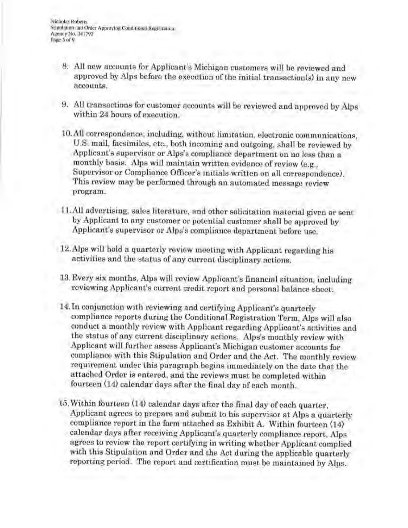**Nicholas Roberts** Stipulation and Order Approving Conditional Registration **Agency** No. **34 1792**  Page 5of9

- 8. All new accounts for Applicant's Michigan customers will be reviewed and approved by Alps before the execution of the initial transaction(s) in any new accounts.
- 9. All transactions for customer accounts will be reviewed and approved by Alps within 24 hours of execution.
- IO.All correspondence, including, without limitation, electronic communications, U.S. mail, facsimiles, etc., both incoming and outgoing, shall be reviewed by Applicant's supervisor or Alps's compliance department on no less than a monthly basis. Alps will maintain written evidence of review (e.g., Supervisor or Compliance Officer's initials written on all correspondence). This review may be performed through an automated message review program.
- 11.All advertising, sales literature, and other solicitation material given or sent by Applicant to any customer or potential customer shall be approved by Applicant's supervisor or Alps's compliance department before use.
- 12.Alps will hold a quarterly review meeting with Applicant regarding his activities and the status of any current disciplinary actions.
- 13. Every six months, Alps will review Applicant's financial situation, including reviewing Applicant's current credit report and personal balance sheet.
- 14.ln conjunction with reviewing and certifying Applicant's quarterly compliance reports during the Conditional Registration Term, Alps will also conduct a monthly review with Applicant regarding Applicant's activities and the status of any current disciplinary actions. Alps's monthly review with Applicant will further assess Applicant's Michigan customer accounts for compliance with this Stipulation and Order and the Act. The monthly review requirement under this paragraph begins immediately on the date that the attached Order is entered, and the reviews must be completed within fourteen (14) calendar days after the final day of each month.
- 15. Within fourteen (14) calendar days after the final day of each quarter, Applicant agrees to prepare and submit to his supervisor at Alps a quarterly compliance report in the form attached as Exhibit A. Within fourteen (14) calendar days after receiving Applicant's quarterly compliance report, Alps agrees to review the report certifying in writing whether Applicant complied with this Stipulation and Order and the Act during the applicable quarterly reporting period. The report and certification must be maintained by Alps.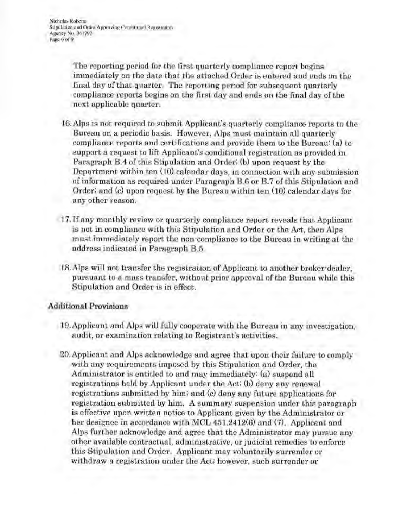The reporting period for the first quarterly compliance report begins immediately on the date that the attached Order is entered and ends on the final day of that quarter. The reporting period for subsequent quarterly compliance reports begins on the first day and ends on the final day of the next applicable quarter.

- 16.Alps is not required to submit Applicant's quarterly compliance reports to the Bureau on a periodic basis. However, Alps must maintain all quarterly compliance reports and certifications and provide them to the Bureau: (a) to support a request to lift Applicant's conditional registration as provided in Paragraph B.4 of this Stipulation and Order; (b) upon request by the Department within ten (IO) calendar days, in connection with any submission of information as required under Paragraph B.6 or B.7 of this Stipulation and Order; and (c) upon request by the Bureau within ten (10) calendar days for any other reason.
- 17. If any monthly review or quarterly compliance report reveals that Applicant is not in compliance with this Stipulation and Order or the Act, then Alps must immediately report the non·compliance to the Bureau in writing at the address indicated in Paragraph B.5.
- IS.Alps will not transfer the registration of Applicant to another broker-dealer, pursuant to a mass transfer, without prior approval of the Bureau while this Stipulation and Order is in effect.

#### Additional Provisions

- 19.Applicant and Alps will fully cooperate with the Bureau in any investigation, audit, or examination relating to Registrant's activities.
- 20.Applicant and Alps acknowledge and agree that upon their failure to comply with any requirements imposed by this Stipulation and Order, the Administrator is entitled to and may immediately: (a) suspend all registrations held by Applicant under the Act; (b) deny any renewal registrations submitted by him; and (c) deny any future applications for registration submitted by him. A summary suspension under this paragraph is effective upon written notice to Applicant given by the Administrator or her designee in accordance with MCL 451.2412(6) and (7). Applicant and Alps further acknowledge and agree that the Administrator may pursue any other available contractual, administrative, or judicial remedies to enforce this Stipulation and Order. Applicant may voluntarily surrender or withdraw a registration under the Act; however, such surrender or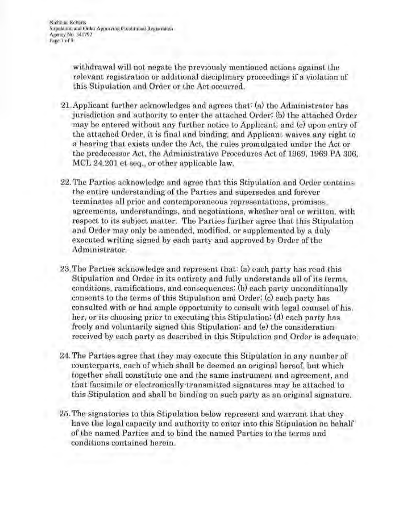withdrawal will not negate the previously mentioned actions against the relevant registration or additional disciplinary proceedings if a violation of this Stipulation and Order or the Act occurred.

- 21.Applicant further acknowledges and agrees that: (a) the Administrator has jurisdiction and authority to enter the attached Order; (b) the attached Order may be entered without any further notice to Applicant; and (c) upon entry of the attached Order, it is final and binding, and Applicant waives any right to a hearing that exists under the Act, the rules promulgated under the Act or the predecessor Act, the Administrative Procedures Act of 1969, 1969 PA 306, MCL 24.201 et seq., or other applicable law.
	- 22. The Parties acknowledge and agree that this Stipulation and Order contains the entire understanding of the Parties and supersedes and forever terminates all prior and contemporaneous representations, promises, agreements, understandings, and negotiations, whether oral or written, with respect to its subject matter. The Parties further agree that this Stipulation and Order may only be amended, modified, or supplemented by a duly executed writing signed by each party and approved by Order of the Administrator.
	- 23. The Parties acknowledge and represent that: (a) each party has read this Stipulation and Order in its entirety and fully understands all of its terms, conditions, ramifications, and consequences; (b) each party unconditionally consents to the terms of this Stipulation and Order; (c) each party has consulted with or had ample opportunity to consult with legal counsel of his, her, or its choosing prior to executing this Stipulation; (d) each party has freely and voluntarily signed this Stipulation; and (e) the consideration received by each party as described in this Stipulation and Order is adequate.
	- 24. The Parties agree that they may execute this Stipulation in any number of counterparts, each of which shall be deemed an original hereof, but which together shall constitute one and the same instrument and agreement, and that facsimile or electronically-transmitted signatures may be attached to this Stipulation and shall be binding on such party as an original signature.
	- 25. The signatories to this Stipulation below represent and warrant that they have the legal capacity and authority to enter into this Stipulation on behalf of the named Parties and to bind the named Parties to the terms and conditions contained herein.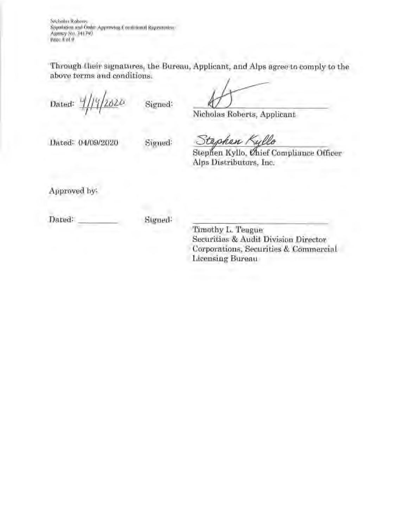**Nicholas Roberts**  Stipulation and Orde: Approving Conditional Registration **Agency No. 34 1 792 Page 8 nl'9** 

Through their signatures, the Bureau, Applicant, and Alps agree to comply to the above terms and conditions.

Dated:  $\frac{1}{\frac{1}{2}}\frac{1}{2020}$  Signed:

Nicholas Roberts, Applicant

Dated: 04/09/2020 Signed:

Stephen Kyllo

Stephen Kyllo, Chief Compliance Officer Alps Distributors, Inc.

Approved by:

Dated: Signed:

Timothy L. Teague Securities & Audit Division Director Corporations, Securities & Commercial Licensing Bureau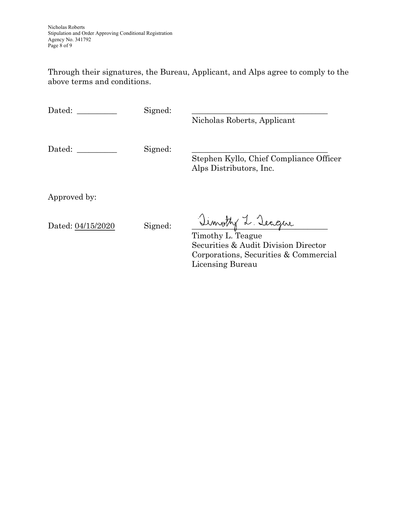Through their signatures, the Bureau, Applicant, and Alps agree to comply to the above terms and conditions.

| Dated: |  |
|--------|--|
|--------|--|

Signed:

Nicholas Roberts, Applicant

Dated: \_\_\_\_\_\_\_\_\_\_ Signed: \_\_\_\_\_\_\_\_\_\_\_\_\_\_\_\_\_\_\_\_\_\_\_\_\_\_\_\_\_\_\_\_\_\_

Stephen Kyllo, Chief Compliance Officer Alps Distributors, Inc.

Approved by:

Dated: <u>04/15/2020</u> Signed: Jimothy L. Teague

Timothy L. Teague Securities & Audit Division Director Corporations, Securities & Commercial Licensing Bureau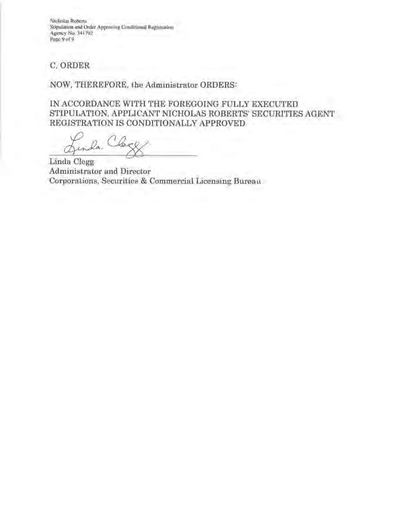**Nicholas Roberts Stipul:llion and Ordci;- Approving Conditional Registra1ioo Agency No. 34 1792**  Page 9 of 9

# C. ORDER

## NOW, THEREFORE, the Administrator ORDERS:

IN ACCORDANCE WITH THE FOREGOING FULLY EXECUTED STIPULATION, APPLICANT NICHOLAS ROBERTS' SECURITIES AGENT REGISTRATION IS CONDITIONALLY APPROVED.

 $\sqrt{\alpha}$ .

Linda Clegg Administrator and Director Corporations, Securities & Commercial Licensing Bureau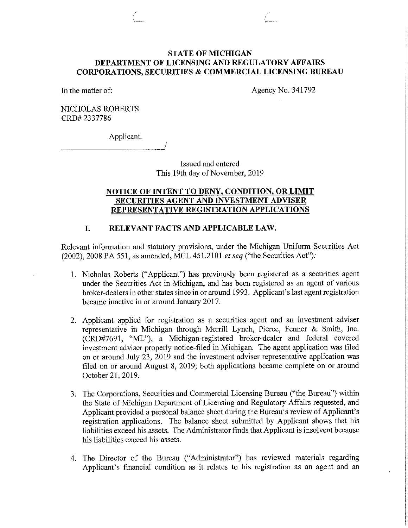#### **STATE OF MICHIGAN DEPARTMENT OF LICENSING AND REGULATORY AFFAIRS CORPORATIONS, SECURITIES & COMMERCIAL LICENSING BUREAU**

In the matter of:

Agency No. 341792

NICHOLAS ROBERTS CRD# 2337786

Applicant.

Issued and entered This 19th day of November, 2019

#### **NOTICE OF INTENT TO DENY, CONDITION, OR LIMIT SECURITIES AGENT AND INVESTMENT ADVISER REPRESENTATIVE REGISTRATION APPLICATIONS**

#### **I. RELEVANT FACTS AND APPLICABLE LAW.**

Relevant information and statutory provisions, under the Michigan Uniform Securities Act (2002), 2008 PA 551, as amended, MCL 451.2101 *et seq* ("the Securities Act");

- 1. Nicholas Roberts ("Applicant") has previously been registered as a securities agent under the Securities Act in Michigan, and has been registered as an agent of various broker-dealers in other states since in or around 1993. Applicant's last agent registration became inactive in or around January 2017.
- 2. Applicant applied for registration as a securities agent and an investment adviser representative in Michigan through Merrill Lynch, Pierce, Fenner & Smith, Inc. (CRD#7691, "ML"), a Michigan-registered broker-dealer and federal covered investment adviser properly notice-filed in Michigan. The agent application was filed on or around July 23, 2019 and the investment adviser representative application was filed on or around August 8, 2019; both applications became complete on or around October 21, 2019.
- 3. The Corporations, Securities and Commercial Licensing Bureau ("the Bureau") within the State of Michigan Department of Licensing and Regulatory Affairs requested, and Applicant provided a personal balance sheet during the Bureau's review of Applicant's registration applications. The balance sheet submitted by Applicant shows that his liabilities exceed his assets. The Administrator finds that Applicant is insolvent because his liabilities exceed his assets.
- 4. The Director of the Bureau ("Administrator") has reviewed materials regarding Applicant's financial condition as it relates to his registration as an agent and an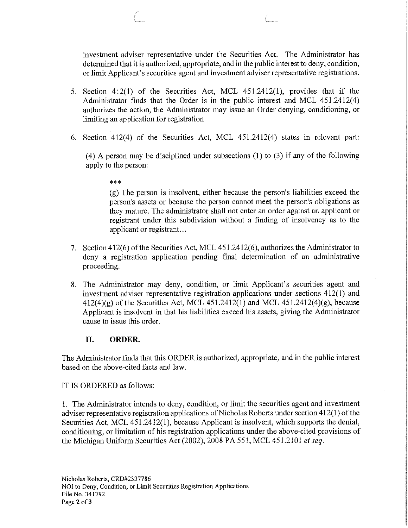investment adviser representative under the Securities Act. The Administrator has determined that it is authorized, appropriate, and in the public interest to deny, condition, or limit Applicant's securities agent and investment adviser representative registrations.

- 5. Section 412(1) of the Securities Act, MCL 451.2412(1), provides that if the Administrator finds that the Order is in the public interest and MCL 451.2412(4) authorizes the action, the Administrator may issue an Order denying, conditioning, or limiting an application for registration.
- 6. Section 412(4) of the Securities Act, MCL 451.2412(4) states in relevant part:

(4) A person may be disciplined under subsections (1) to (3) if any of the following apply to the person:

\*\*\*

(g) The person is insolvent, either because the person's liabilities exceed the person's assets or because the person cannot meet the person's obligations as they mature. The administrator shall not enter an order against an applicant or registrant under this subdivision without a finding of insolvency as to the applicant or registrant...

- 7. Section 412(6) of the Securities Act, MCL 451.2412(6), authorizes the Administrator to deny a registration application pending final determination of an administrative proceeding.
- 8. The Administrator may deny, condition, or limit Applicant's securities agent and investment adviser representative registration applications under sections 412(1) and  $412(4)(g)$  of the Securities Act, MCL 451.2412(1) and MCL 451.2412(4)(g), because Applicant is insolvent in that his liabilities exceed his assets, giving the Administrator cause to issue this order.

## **II. ORDER.**

The Administrator finds that this ORDER is authorized, appropriate, and in the public interest based on the above-cited facts and law.

IT IS ORDERED as follows:

1. The Administrator intends to deny, condition, or limit the securities agent and investment adviser representative registration applications of Nicholas Roberts under section 412(1) of the Securities Act, MCL 451.2412(1), because Applicant is insolvent, which supports the denial, conditioning, or limitation of his registration applications under the above-cited provisions of the Michigan Uniform Securities Act (2002), 2008 PA 551, MCL 451.2101 *et seq.*